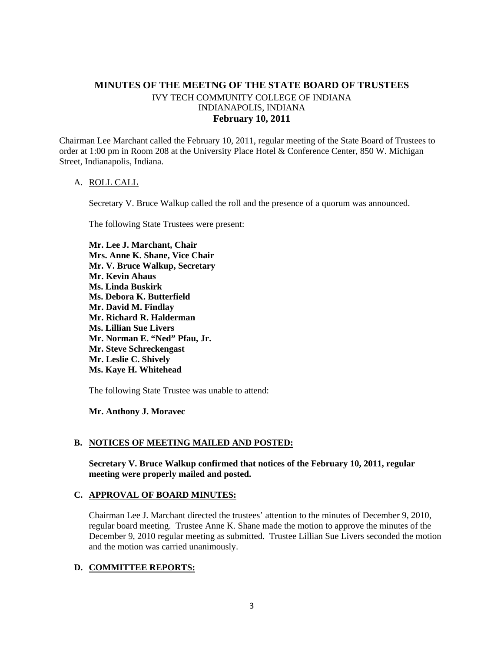# **MINUTES OF THE MEETNG OF THE STATE BOARD OF TRUSTEES**  IVY TECH COMMUNITY COLLEGE OF INDIANA INDIANAPOLIS, INDIANA **February 10, 2011**

Chairman Lee Marchant called the February 10, 2011, regular meeting of the State Board of Trustees to order at 1:00 pm in Room 208 at the University Place Hotel & Conference Center, 850 W. Michigan Street, Indianapolis, Indiana.

#### A. ROLL CALL

Secretary V. Bruce Walkup called the roll and the presence of a quorum was announced.

The following State Trustees were present:

**Mr. Lee J. Marchant, Chair Mrs. Anne K. Shane, Vice Chair Mr. V. Bruce Walkup, Secretary Mr. Kevin Ahaus Ms. Linda Buskirk Ms. Debora K. Butterfield Mr. David M. Findlay Mr. Richard R. Halderman Ms. Lillian Sue Livers Mr. Norman E. "Ned" Pfau, Jr. Mr. Steve Schreckengast Mr. Leslie C. Shively Ms. Kaye H. Whitehead** 

The following State Trustee was unable to attend:

#### **Mr. Anthony J. Moravec**

#### **B. NOTICES OF MEETING MAILED AND POSTED:**

**Secretary V. Bruce Walkup confirmed that notices of the February 10, 2011, regular meeting were properly mailed and posted.** 

#### **C. APPROVAL OF BOARD MINUTES:**

Chairman Lee J. Marchant directed the trustees' attention to the minutes of December 9, 2010, regular board meeting. Trustee Anne K. Shane made the motion to approve the minutes of the December 9, 2010 regular meeting as submitted. Trustee Lillian Sue Livers seconded the motion and the motion was carried unanimously.

#### **D. COMMITTEE REPORTS:**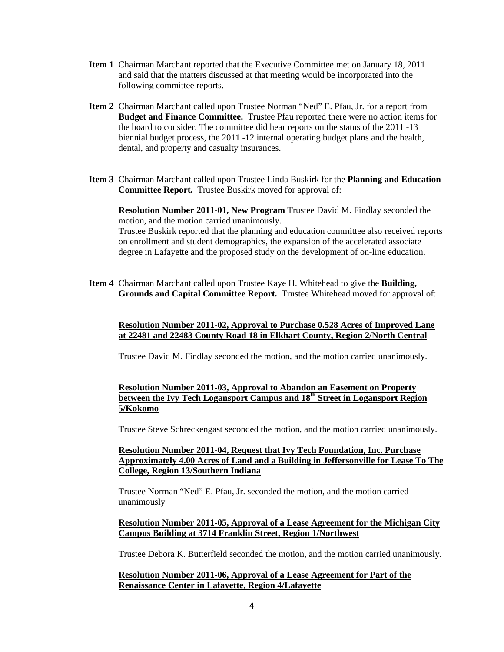- **Item 1** Chairman Marchant reported that the Executive Committee met on January 18, 2011 and said that the matters discussed at that meeting would be incorporated into the following committee reports.
- **Item 2** Chairman Marchant called upon Trustee Norman "Ned" E. Pfau, Jr. for a report from **Budget and Finance Committee.** Trustee Pfau reported there were no action items for the board to consider. The committee did hear reports on the status of the 2011 -13 biennial budget process, the 2011 -12 internal operating budget plans and the health, dental, and property and casualty insurances.
- **Item 3** Chairman Marchant called upon Trustee Linda Buskirk for the **Planning and Education Committee Report.** Trustee Buskirk moved for approval of:

**Resolution Number 2011-01, New Program** Trustee David M. Findlay seconded the motion, and the motion carried unanimously. Trustee Buskirk reported that the planning and education committee also received reports on enrollment and student demographics, the expansion of the accelerated associate degree in Lafayette and the proposed study on the development of on-line education.

**Item 4** Chairman Marchant called upon Trustee Kaye H. Whitehead to give the **Building, Grounds and Capital Committee Report.** Trustee Whitehead moved for approval of:

### **Resolution Number 2011-02, Approval to Purchase 0.528 Acres of Improved Lane at 22481 and 22483 County Road 18 in Elkhart County, Region 2/North Central**

Trustee David M. Findlay seconded the motion, and the motion carried unanimously.

### **Resolution Number 2011-03, Approval to Abandon an Easement on Property between the Ivy Tech Logansport Campus and 18th Street in Logansport Region 5/Kokomo**

Trustee Steve Schreckengast seconded the motion, and the motion carried unanimously.

#### **Resolution Number 2011-04, Request that Ivy Tech Foundation, Inc. Purchase Approximately 4.00 Acres of Land and a Building in Jeffersonville for Lease To The College, Region 13/Southern Indiana**

Trustee Norman "Ned" E. Pfau, Jr. seconded the motion, and the motion carried unanimously

### **Resolution Number 2011-05, Approval of a Lease Agreement for the Michigan City Campus Building at 3714 Franklin Street, Region 1/Northwest**

Trustee Debora K. Butterfield seconded the motion, and the motion carried unanimously.

### **Resolution Number 2011-06, Approval of a Lease Agreement for Part of the Renaissance Center in Lafayette, Region 4/Lafayette**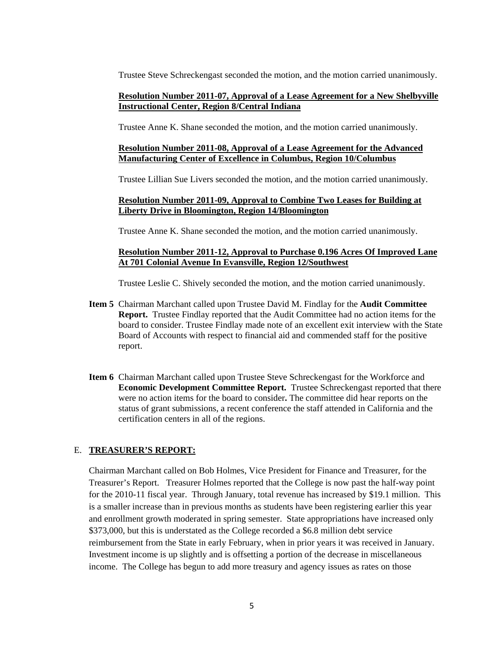Trustee Steve Schreckengast seconded the motion, and the motion carried unanimously.

### **Resolution Number 2011-07, Approval of a Lease Agreement for a New Shelbyville Instructional Center, Region 8/Central Indiana**

Trustee Anne K. Shane seconded the motion, and the motion carried unanimously.

### **Resolution Number 2011-08, Approval of a Lease Agreement for the Advanced Manufacturing Center of Excellence in Columbus, Region 10/Columbus**

Trustee Lillian Sue Livers seconded the motion, and the motion carried unanimously.

# **Resolution Number 2011-09, Approval to Combine Two Leases for Building at Liberty Drive in Bloomington, Region 14/Bloomington**

Trustee Anne K. Shane seconded the motion, and the motion carried unanimously.

## **Resolution Number 2011-12, Approval to Purchase 0.196 Acres Of Improved Lane At 701 Colonial Avenue In Evansville, Region 12/Southwest**

Trustee Leslie C. Shively seconded the motion, and the motion carried unanimously.

- **Item 5** Chairman Marchant called upon Trustee David M. Findlay for the **Audit Committee Report.** Trustee Findlay reported that the Audit Committee had no action items for the board to consider. Trustee Findlay made note of an excellent exit interview with the State Board of Accounts with respect to financial aid and commended staff for the positive report.
- **Item 6** Chairman Marchant called upon Trustee Steve Schreckengast for the Workforce and  **Economic Development Committee Report.** Trustee Schreckengast reported that there were no action items for the board to consider**.** The committee did hear reports on the status of grant submissions, a recent conference the staff attended in California and the certification centers in all of the regions.

# E. **TREASURER'S REPORT:**

Chairman Marchant called on Bob Holmes, Vice President for Finance and Treasurer, for the Treasurer's Report. Treasurer Holmes reported that the College is now past the half-way point for the 2010-11 fiscal year. Through January, total revenue has increased by \$19.1 million. This is a smaller increase than in previous months as students have been registering earlier this year and enrollment growth moderated in spring semester. State appropriations have increased only \$373,000, but this is understated as the College recorded a \$6.8 million debt service reimbursement from the State in early February, when in prior years it was received in January. Investment income is up slightly and is offsetting a portion of the decrease in miscellaneous income. The College has begun to add more treasury and agency issues as rates on those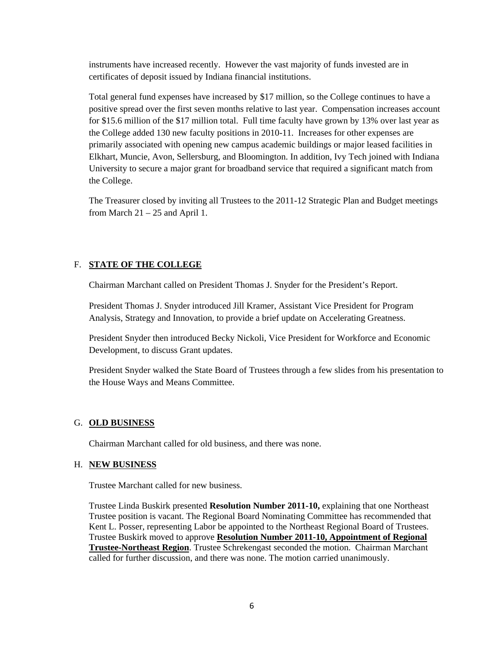instruments have increased recently. However the vast majority of funds invested are in certificates of deposit issued by Indiana financial institutions.

Total general fund expenses have increased by \$17 million, so the College continues to have a positive spread over the first seven months relative to last year. Compensation increases account for \$15.6 million of the \$17 million total. Full time faculty have grown by 13% over last year as the College added 130 new faculty positions in 2010-11. Increases for other expenses are primarily associated with opening new campus academic buildings or major leased facilities in Elkhart, Muncie, Avon, Sellersburg, and Bloomington. In addition, Ivy Tech joined with Indiana University to secure a major grant for broadband service that required a significant match from the College.

The Treasurer closed by inviting all Trustees to the 2011-12 Strategic Plan and Budget meetings from March  $21 - 25$  and April 1.

### F. **STATE OF THE COLLEGE**

Chairman Marchant called on President Thomas J. Snyder for the President's Report.

President Thomas J. Snyder introduced Jill Kramer, Assistant Vice President for Program Analysis, Strategy and Innovation, to provide a brief update on Accelerating Greatness.

President Snyder then introduced Becky Nickoli, Vice President for Workforce and Economic Development, to discuss Grant updates.

President Snyder walked the State Board of Trustees through a few slides from his presentation to the House Ways and Means Committee.

### G. **OLD BUSINESS**

Chairman Marchant called for old business, and there was none.

#### H. **NEW BUSINESS**

Trustee Marchant called for new business.

Trustee Linda Buskirk presented **Resolution Number 2011-10,** explaining that one Northeast Trustee position is vacant. The Regional Board Nominating Committee has recommended that Kent L. Posser, representing Labor be appointed to the Northeast Regional Board of Trustees. Trustee Buskirk moved to approve **Resolution Number 2011-10, Appointment of Regional Trustee-Northeast Region**. Trustee Schrekengast seconded the motion. Chairman Marchant called for further discussion, and there was none. The motion carried unanimously.